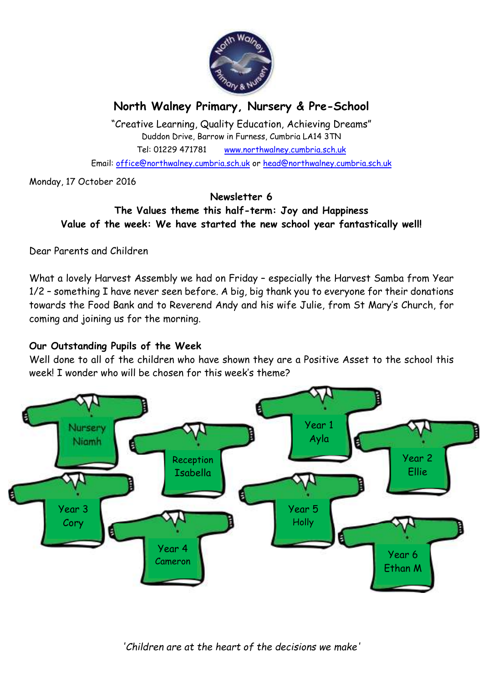

# **North Walney Primary, Nursery & Pre-School**

"Creative Learning, Quality Education, Achieving Dreams" Duddon Drive, Barrow in Furness, Cumbria LA14 3TN Tel: 01229 471781 www.northwalney.cumbria.sch.uk Email: office@northwalney.cumbria.sch.uk or head@northwalney.cumbria.sch.uk

Monday, 17 October 2016

#### **Newsletter 6 The Values theme this half-term: Joy and Happiness Value of the week: We have started the new school year fantastically well!**

Dear Parents and Children

What a lovely Harvest Assembly we had on Friday – especially the Harvest Samba from Year 1/2 – something I have never seen before. A big, big thank you to everyone for their donations towards the Food Bank and to Reverend Andy and his wife Julie, from St Mary's Church, for coming and joining us for the morning.

### **Our Outstanding Pupils of the Week**

Well done to all of the children who have shown they are a Positive Asset to the school this week! I wonder who will be chosen for this week's theme?